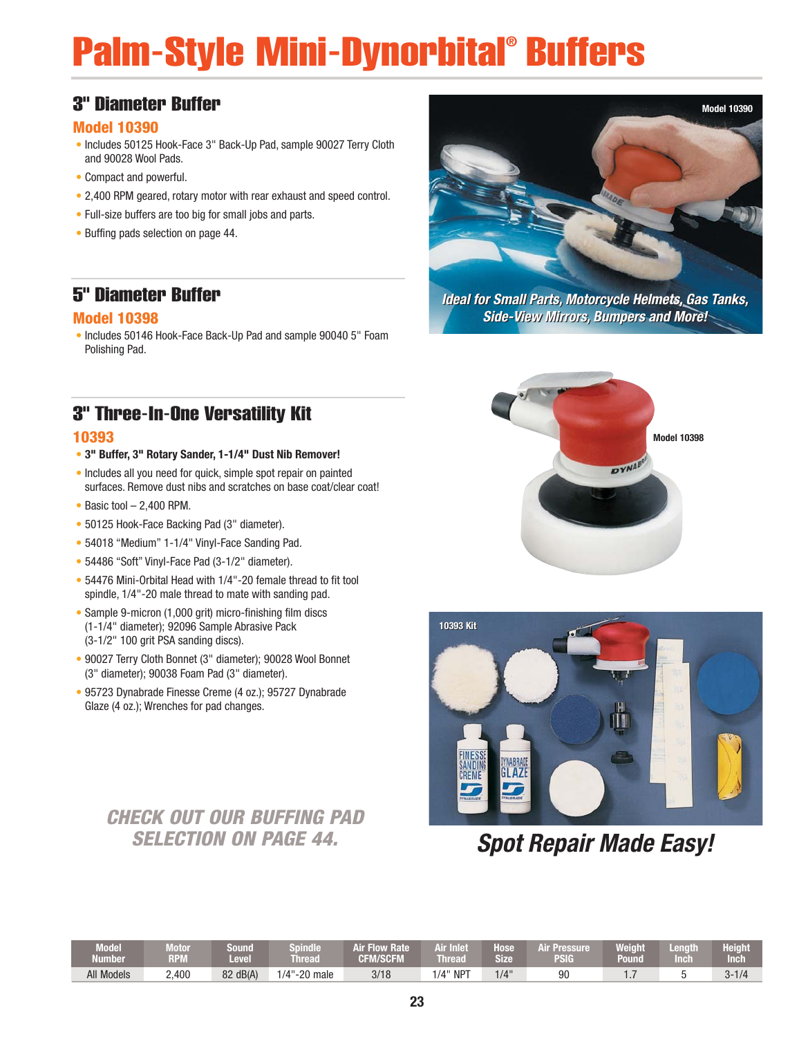# Palm-Style Mini-Dynorbital® Buffers

#### 3" Diameter Buffer

#### **Model 10390**

- Includes 50125 Hook-Face 3" Back-Up Pad, sample 90027 Terry Cloth and 90028 Wool Pads.
- Compact and powerful.
- 2,400 RPM geared, rotary motor with rear exhaust and speed control.
- Full-size buffers are too big for small jobs and parts.
- Buffing pads selection on page 44.

#### 5" Diameter Buffer

#### **Model 10398**

• Includes 50146 Hook-Face Back-Up Pad and sample 90040 5" Foam Polishing Pad.

### 3" Three-In-One Versatility Kit

#### **10393**

- **3" Buffer, 3" Rotary Sander, 1-1/4" Dust Nib Remover!**
- Includes all you need for quick, simple spot repair on painted surfaces. Remove dust nibs and scratches on base coat/clear coat!
- Basic tool 2,400 RPM.
- 50125 Hook-Face Backing Pad (3" diameter).
- 54018 "Medium" 1-1/4" Vinyl-Face Sanding Pad.
- 54486 "Soft" Vinyl-Face Pad (3-1/2" diameter).
- 54476 Mini-Orbital Head with 1/4"-20 female thread to fit tool spindle, 1/4"-20 male thread to mate with sanding pad.
- Sample 9-micron (1,000 grit) micro-finishing film discs (1-1/4" diameter); 92096 Sample Abrasive Pack (3-1/2" 100 grit PSA sanding discs).
- 90027 Terry Cloth Bonnet (3" diameter); 90028 Wool Bonnet (3" diameter); 90038 Foam Pad (3" diameter).
- 95723 Dynabrade Finesse Creme (4 oz.); 95727 Dynabrade Glaze (4 oz.); Wrenches for pad changes.

### **CHECK OUT OUR BUFFING PAD SELECTION ON PAGE 44.**



**Ideal for Small Parts, Motorcycle Helmets, Gas Tanks, Ideal for Small Parts, Motorcycle Helmets, Gas Tanks, Side-View Mirrors, Bumpers and More! Side-View Mirrors, Bumpers and More!**





### **Spot Repair Made Easy!**

| <b>Model</b><br><b>Number</b> | <b>The County</b><br>voor<br><b>RPM</b> | Sound<br>Level | Spindle<br>Thread      | <b>Air Flow Rate</b><br><b>CFM/SCFM</b> | Air Inlet<br><b>Thread</b> | lose<br><b>Size</b> | Air Pressure<br>PSIG | Weight<br>Pound | Lenath<br><b>Inch</b> | Height<br>Inch |
|-------------------------------|-----------------------------------------|----------------|------------------------|-----------------------------------------|----------------------------|---------------------|----------------------|-----------------|-----------------------|----------------|
| All Models                    | 2,400                                   | 82 dB(A)       | $1/4"$ -<br>$-20$ male | 3/18                                    | $NP^{\pi}$<br>/4"          | 1/4"                | 90                   | $\cdots$        |                       | $3 - 1/4$      |